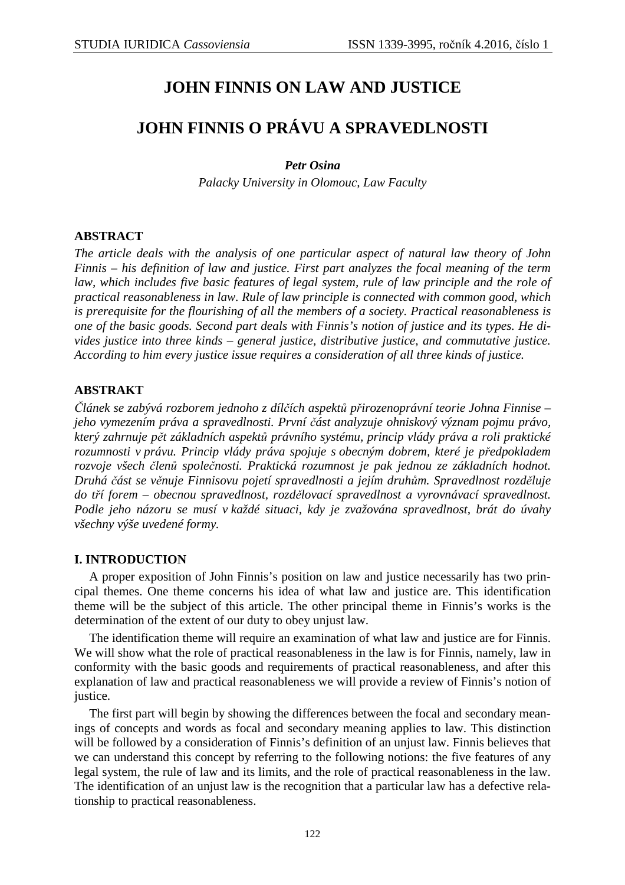# **JOHN FINNIS ON LAW AND JUSTICE**

# **JOHN FINNIS O PRÁVU A SPRAVEDLNOSTI**

*Petr Osina* 

*Palacky University in Olomouc, Law Faculty* 

# **ABSTRACT**

*The article deals with the analysis of one particular aspect of natural law theory of John Finnis – his definition of law and justice. First part analyzes the focal meaning of the term*  law, which includes five basic features of legal system, rule of law principle and the role of *practical reasonableness in law. Rule of law principle is connected with common good, which is prerequisite for the flourishing of all the members of a society. Practical reasonableness is one of the basic goods. Second part deals with Finnis's notion of justice and its types. He divides justice into three kinds – general justice, distributive justice, and commutative justice. According to him every justice issue requires a consideration of all three kinds of justice.* 

# **ABSTRAKT**

*Článek se zabývá rozborem jednoho z dílčích aspektů přirozenoprávní teorie Johna Finnise – jeho vymezením práva a spravedlnosti. První část analyzuje ohniskový význam pojmu právo, který zahrnuje pět základních aspektů právního systému, princip vlády práva a roli praktické rozumnosti v právu. Princip vlády práva spojuje s obecným dobrem, které je předpokladem rozvoje všech členů společnosti. Praktická rozumnost je pak jednou ze základních hodnot. Druhá část se věnuje Finnisovu pojetí spravedlnosti a jejím druhům. Spravedlnost rozděluje do tří forem – obecnou spravedlnost, rozdělovací spravedlnost a vyrovnávací spravedlnost. Podle jeho názoru se musí v každé situaci, kdy je zvažována spravedlnost, brát do úvahy všechny výše uvedené formy.* 

## **I. INTRODUCTION**

A proper exposition of John Finnis's position on law and justice necessarily has two principal themes. One theme concerns his idea of what law and justice are. This identification theme will be the subject of this article. The other principal theme in Finnis's works is the determination of the extent of our duty to obey unjust law.

The identification theme will require an examination of what law and justice are for Finnis. We will show what the role of practical reasonableness in the law is for Finnis, namely, law in conformity with the basic goods and requirements of practical reasonableness, and after this explanation of law and practical reasonableness we will provide a review of Finnis's notion of justice.

The first part will begin by showing the differences between the focal and secondary meanings of concepts and words as focal and secondary meaning applies to law. This distinction will be followed by a consideration of Finnis's definition of an unjust law. Finnis believes that we can understand this concept by referring to the following notions: the five features of any legal system, the rule of law and its limits, and the role of practical reasonableness in the law. The identification of an unjust law is the recognition that a particular law has a defective relationship to practical reasonableness.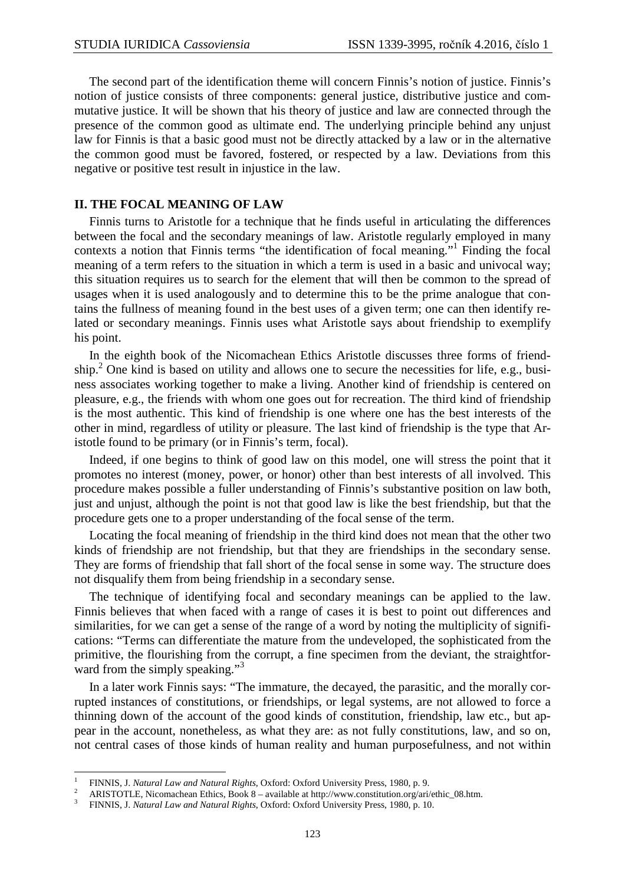The second part of the identification theme will concern Finnis's notion of justice. Finnis's notion of justice consists of three components: general justice, distributive justice and commutative justice. It will be shown that his theory of justice and law are connected through the presence of the common good as ultimate end. The underlying principle behind any unjust law for Finnis is that a basic good must not be directly attacked by a law or in the alternative the common good must be favored, fostered, or respected by a law. Deviations from this negative or positive test result in injustice in the law.

### **II. THE FOCAL MEANING OF LAW**

Finnis turns to Aristotle for a technique that he finds useful in articulating the differences between the focal and the secondary meanings of law. Aristotle regularly employed in many contexts a notion that Finnis terms "the identification of focal meaning."<sup>1</sup> Finding the focal meaning of a term refers to the situation in which a term is used in a basic and univocal way; this situation requires us to search for the element that will then be common to the spread of usages when it is used analogously and to determine this to be the prime analogue that contains the fullness of meaning found in the best uses of a given term; one can then identify related or secondary meanings. Finnis uses what Aristotle says about friendship to exemplify his point.

In the eighth book of the Nicomachean Ethics Aristotle discusses three forms of friendship.<sup>2</sup> One kind is based on utility and allows one to secure the necessities for life, e.g., business associates working together to make a living. Another kind of friendship is centered on pleasure, e.g., the friends with whom one goes out for recreation. The third kind of friendship is the most authentic. This kind of friendship is one where one has the best interests of the other in mind, regardless of utility or pleasure. The last kind of friendship is the type that Aristotle found to be primary (or in Finnis's term, focal).

Indeed, if one begins to think of good law on this model, one will stress the point that it promotes no interest (money, power, or honor) other than best interests of all involved. This procedure makes possible a fuller understanding of Finnis's substantive position on law both, just and unjust, although the point is not that good law is like the best friendship, but that the procedure gets one to a proper understanding of the focal sense of the term.

Locating the focal meaning of friendship in the third kind does not mean that the other two kinds of friendship are not friendship, but that they are friendships in the secondary sense. They are forms of friendship that fall short of the focal sense in some way. The structure does not disqualify them from being friendship in a secondary sense.

The technique of identifying focal and secondary meanings can be applied to the law. Finnis believes that when faced with a range of cases it is best to point out differences and similarities, for we can get a sense of the range of a word by noting the multiplicity of significations: "Terms can differentiate the mature from the undeveloped, the sophisticated from the primitive, the flourishing from the corrupt, a fine specimen from the deviant, the straightforward from the simply speaking."<sup>3</sup>

In a later work Finnis says: "The immature, the decayed, the parasitic, and the morally corrupted instances of constitutions, or friendships, or legal systems, are not allowed to force a thinning down of the account of the good kinds of constitution, friendship, law etc., but appear in the account, nonetheless, as what they are: as not fully constitutions, law, and so on, not central cases of those kinds of human reality and human purposefulness, and not within

 $\overline{a}$ 

<sup>1</sup> FINNIS, J. *Natural Law and Natural Rights*, Oxford: Oxford University Press, 1980, p. 9.

 $\overline{2}$ ARISTOTLE, Nicomachean Ethics, Book 8 – available at http://www.constitution.org/ari/ethic\_08.htm.

<sup>3</sup> FINNIS, J. *Natural Law and Natural Rights*, Oxford: Oxford University Press, 1980, p. 10.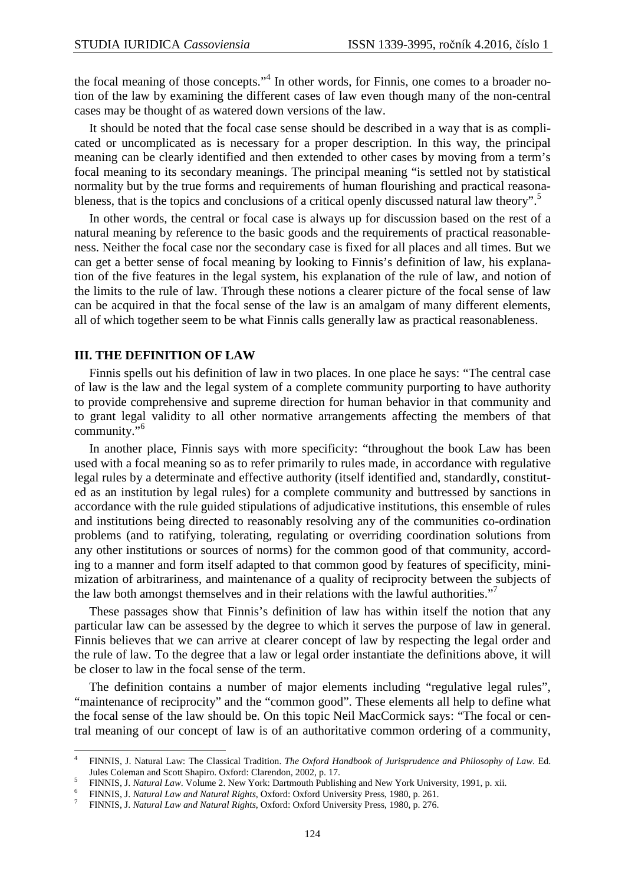the focal meaning of those concepts."<sup>4</sup> In other words, for Finnis, one comes to a broader notion of the law by examining the different cases of law even though many of the non-central cases may be thought of as watered down versions of the law.

It should be noted that the focal case sense should be described in a way that is as complicated or uncomplicated as is necessary for a proper description. In this way, the principal meaning can be clearly identified and then extended to other cases by moving from a term's focal meaning to its secondary meanings. The principal meaning "is settled not by statistical normality but by the true forms and requirements of human flourishing and practical reasonableness, that is the topics and conclusions of a critical openly discussed natural law theory".<sup>5</sup>

In other words, the central or focal case is always up for discussion based on the rest of a natural meaning by reference to the basic goods and the requirements of practical reasonableness. Neither the focal case nor the secondary case is fixed for all places and all times. But we can get a better sense of focal meaning by looking to Finnis's definition of law, his explanation of the five features in the legal system, his explanation of the rule of law, and notion of the limits to the rule of law. Through these notions a clearer picture of the focal sense of law can be acquired in that the focal sense of the law is an amalgam of many different elements, all of which together seem to be what Finnis calls generally law as practical reasonableness.

#### **III. THE DEFINITION OF LAW**

l

Finnis spells out his definition of law in two places. In one place he says: "The central case of law is the law and the legal system of a complete community purporting to have authority to provide comprehensive and supreme direction for human behavior in that community and to grant legal validity to all other normative arrangements affecting the members of that community."<sup>6</sup>

In another place, Finnis says with more specificity: "throughout the book Law has been used with a focal meaning so as to refer primarily to rules made, in accordance with regulative legal rules by a determinate and effective authority (itself identified and, standardly, constituted as an institution by legal rules) for a complete community and buttressed by sanctions in accordance with the rule guided stipulations of adjudicative institutions, this ensemble of rules and institutions being directed to reasonably resolving any of the communities co-ordination problems (and to ratifying, tolerating, regulating or overriding coordination solutions from any other institutions or sources of norms) for the common good of that community, according to a manner and form itself adapted to that common good by features of specificity, minimization of arbitrariness, and maintenance of a quality of reciprocity between the subjects of the law both amongst themselves and in their relations with the lawful authorities."<sup>7</sup>

These passages show that Finnis's definition of law has within itself the notion that any particular law can be assessed by the degree to which it serves the purpose of law in general. Finnis believes that we can arrive at clearer concept of law by respecting the legal order and the rule of law. To the degree that a law or legal order instantiate the definitions above, it will be closer to law in the focal sense of the term.

The definition contains a number of major elements including "regulative legal rules", "maintenance of reciprocity" and the "common good". These elements all help to define what the focal sense of the law should be. On this topic Neil MacCormick says: "The focal or central meaning of our concept of law is of an authoritative common ordering of a community,

<sup>4</sup> FINNIS, J. Natural Law: The Classical Tradition. *The Oxford Handbook of Jurisprudence and Philosophy of Law*. Ed. Jules Coleman and Scott Shapiro. Oxford: Clarendon, 2002, p. 17.

<sup>5</sup> FINNIS, J. *Natural Law*. Volume 2. New York: Dartmouth Publishing and New York University, 1991, p. xii.

<sup>6</sup> FINNIS, J. *Natural Law and Natural Rights*, Oxford: Oxford University Press, 1980, p. 261.

<sup>7</sup> FINNIS, J. *Natural Law and Natural Rights*, Oxford: Oxford University Press, 1980, p. 276.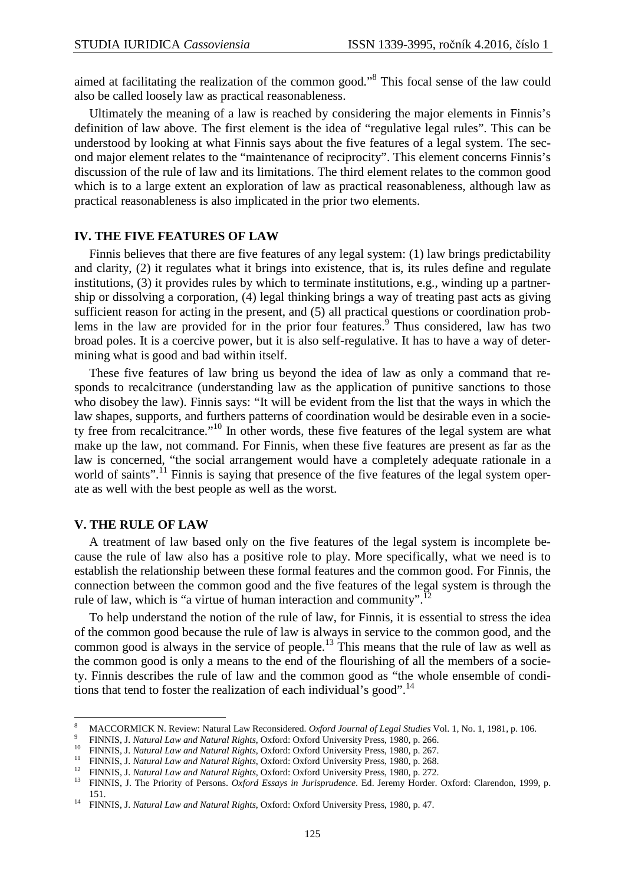aimed at facilitating the realization of the common good."<sup>8</sup> This focal sense of the law could also be called loosely law as practical reasonableness.

Ultimately the meaning of a law is reached by considering the major elements in Finnis's definition of law above. The first element is the idea of "regulative legal rules". This can be understood by looking at what Finnis says about the five features of a legal system. The second major element relates to the "maintenance of reciprocity". This element concerns Finnis's discussion of the rule of law and its limitations. The third element relates to the common good which is to a large extent an exploration of law as practical reasonableness, although law as practical reasonableness is also implicated in the prior two elements.

## **IV. THE FIVE FEATURES OF LAW**

Finnis believes that there are five features of any legal system: (1) law brings predictability and clarity, (2) it regulates what it brings into existence, that is, its rules define and regulate institutions, (3) it provides rules by which to terminate institutions, e.g., winding up a partnership or dissolving a corporation, (4) legal thinking brings a way of treating past acts as giving sufficient reason for acting in the present, and (5) all practical questions or coordination problems in the law are provided for in the prior four features.<sup>9</sup> Thus considered, law has two broad poles. It is a coercive power, but it is also self-regulative. It has to have a way of determining what is good and bad within itself.

These five features of law bring us beyond the idea of law as only a command that responds to recalcitrance (understanding law as the application of punitive sanctions to those who disobey the law). Finnis says: "It will be evident from the list that the ways in which the law shapes, supports, and furthers patterns of coordination would be desirable even in a society free from recalcitrance."<sup>10</sup> In other words, these five features of the legal system are what make up the law, not command. For Finnis, when these five features are present as far as the law is concerned, "the social arrangement would have a completely adequate rationale in a world of saints".<sup>11</sup> Finnis is saying that presence of the five features of the legal system operate as well with the best people as well as the worst.

#### **V. THE RULE OF LAW**

 $\overline{a}$ 

A treatment of law based only on the five features of the legal system is incomplete because the rule of law also has a positive role to play. More specifically, what we need is to establish the relationship between these formal features and the common good. For Finnis, the connection between the common good and the five features of the legal system is through the rule of law, which is "a virtue of human interaction and community".<sup>12</sup>

To help understand the notion of the rule of law, for Finnis, it is essential to stress the idea of the common good because the rule of law is always in service to the common good, and the common good is always in the service of people.<sup>13</sup> This means that the rule of law as well as the common good is only a means to the end of the flourishing of all the members of a society. Finnis describes the rule of law and the common good as "the whole ensemble of conditions that tend to foster the realization of each individual's good".<sup>14</sup>

<sup>8</sup> MACCORMICK N. Review: Natural Law Reconsidered. *Oxford Journal of Legal Studies* Vol. 1, No. 1, 1981, p. 106.  $\alpha$ 

FINNIS, J. *Natural Law and Natural Rights*, Oxford: Oxford University Press, 1980, p. 266.

<sup>10</sup> FINNIS, J. *Natural Law and Natural Rights*, Oxford: Oxford University Press, 1980, p. 267.

<sup>11</sup> FINNIS, J. *Natural Law and Natural Rights*, Oxford: Oxford University Press, 1980, p. 268.

<sup>12</sup> FINNIS, J. *Natural Law and Natural Rights*, Oxford: Oxford University Press, 1980, p. 272.

<sup>&</sup>lt;sup>13</sup> FINNIS, J. The Priority of Persons. *Oxford Essays in Jurisprudence*. Ed. Jeremy Horder. Oxford: Clarendon, 1999, p. 151.

<sup>14</sup> FINNIS, J. *Natural Law and Natural Rights*, Oxford: Oxford University Press, 1980, p. 47.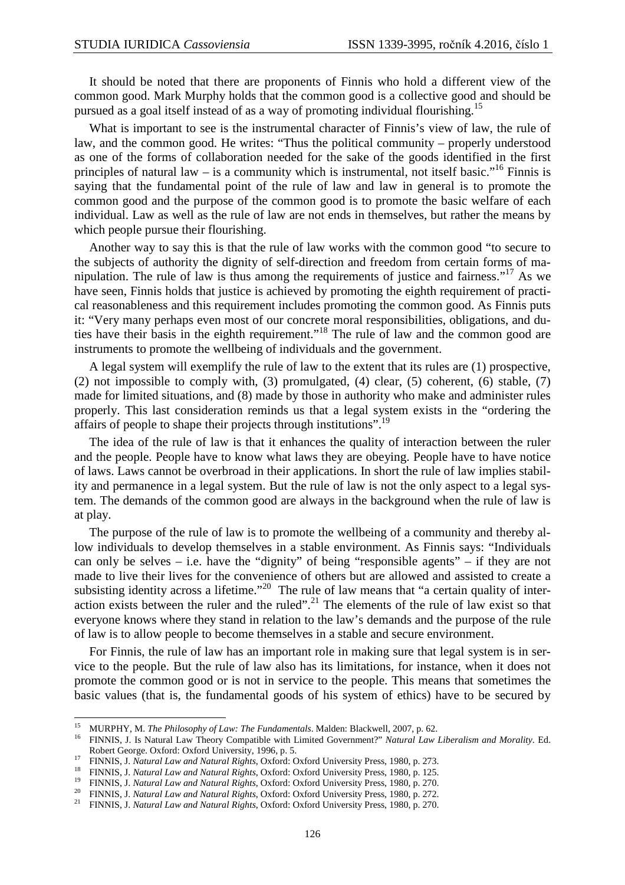It should be noted that there are proponents of Finnis who hold a different view of the common good. Mark Murphy holds that the common good is a collective good and should be pursued as a goal itself instead of as a way of promoting individual flourishing.<sup>15</sup>

What is important to see is the instrumental character of Finnis's view of law, the rule of law, and the common good. He writes: "Thus the political community – properly understood as one of the forms of collaboration needed for the sake of the goods identified in the first principles of natural law – is a community which is instrumental, not itself basic."<sup>16</sup> Finnis is saying that the fundamental point of the rule of law and law in general is to promote the common good and the purpose of the common good is to promote the basic welfare of each individual. Law as well as the rule of law are not ends in themselves, but rather the means by which people pursue their flourishing.

Another way to say this is that the rule of law works with the common good "to secure to the subjects of authority the dignity of self-direction and freedom from certain forms of manipulation. The rule of law is thus among the requirements of justice and fairness."<sup>17</sup> As we have seen, Finnis holds that justice is achieved by promoting the eighth requirement of practical reasonableness and this requirement includes promoting the common good. As Finnis puts it: "Very many perhaps even most of our concrete moral responsibilities, obligations, and duties have their basis in the eighth requirement."<sup>18</sup> The rule of law and the common good are instruments to promote the wellbeing of individuals and the government.

A legal system will exemplify the rule of law to the extent that its rules are (1) prospective, (2) not impossible to comply with, (3) promulgated, (4) clear, (5) coherent, (6) stable, (7) made for limited situations, and (8) made by those in authority who make and administer rules properly. This last consideration reminds us that a legal system exists in the "ordering the affairs of people to shape their projects through institutions".<sup>19</sup>

The idea of the rule of law is that it enhances the quality of interaction between the ruler and the people. People have to know what laws they are obeying. People have to have notice of laws. Laws cannot be overbroad in their applications. In short the rule of law implies stability and permanence in a legal system. But the rule of law is not the only aspect to a legal system. The demands of the common good are always in the background when the rule of law is at play.

The purpose of the rule of law is to promote the wellbeing of a community and thereby allow individuals to develop themselves in a stable environment. As Finnis says: "Individuals can only be selves – i.e. have the "dignity" of being "responsible agents" – if they are not made to live their lives for the convenience of others but are allowed and assisted to create a subsisting identity across a lifetime."<sup>20</sup> The rule of law means that "a certain quality of interaction exists between the ruler and the ruled".<sup>21</sup> The elements of the rule of law exist so that everyone knows where they stand in relation to the law's demands and the purpose of the rule of law is to allow people to become themselves in a stable and secure environment.

For Finnis, the rule of law has an important role in making sure that legal system is in service to the people. But the rule of law also has its limitations, for instance, when it does not promote the common good or is not in service to the people. This means that sometimes the basic values (that is, the fundamental goods of his system of ethics) have to be secured by

 $\overline{a}$ 

<sup>&</sup>lt;sup>15</sup> MURPHY, M. *The Philosophy of Law: The Fundamentals*. Malden: Blackwell, 2007, p. 62.<br><sup>16</sup> EINNIS, J. Je Netwol Law Theory Compatible with Limited Government?'' Natural Law.

<sup>16</sup> FINNIS, J. Is Natural Law Theory Compatible with Limited Government?" *Natural Law Liberalism and Morality*. Ed. Robert George. Oxford: Oxford University, 1996, p. 5.

<sup>17</sup> FINNIS, J. *Natural Law and Natural Rights*, Oxford: Oxford University Press, 1980, p. 273.

<sup>18</sup> FINNIS, J. *Natural Law and Natural Rights*, Oxford: Oxford University Press, 1980, p. 125.

<sup>19</sup> FINNIS, J. *Natural Law and Natural Rights*, Oxford: Oxford University Press, 1980, p. 270.

<sup>20</sup> FINNIS, J. *Natural Law and Natural Rights*, Oxford: Oxford University Press, 1980, p. 272.

<sup>21</sup> FINNIS, J. *Natural Law and Natural Rights*, Oxford: Oxford University Press, 1980, p. 270.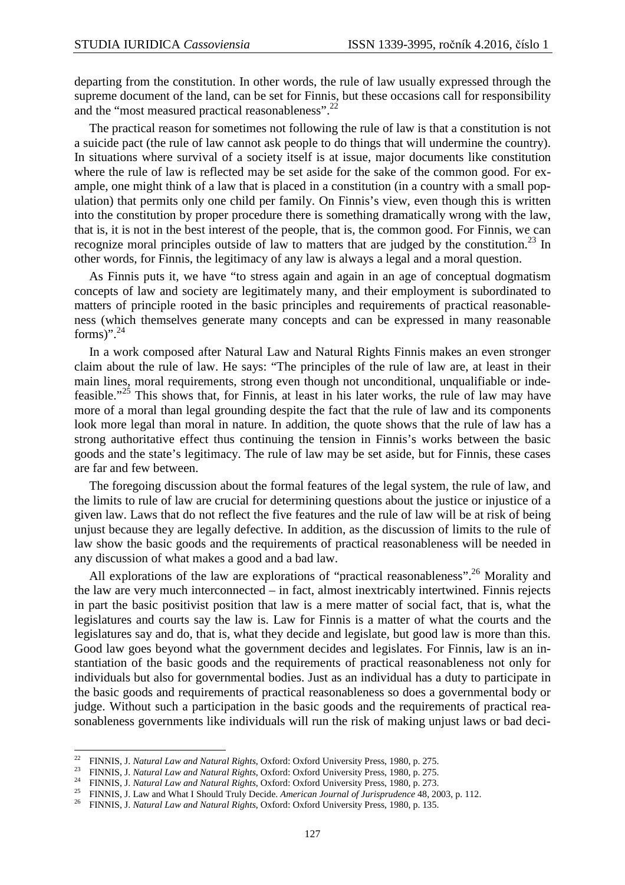departing from the constitution. In other words, the rule of law usually expressed through the supreme document of the land, can be set for Finnis, but these occasions call for responsibility and the "most measured practical reasonableness".<sup>22</sup>

The practical reason for sometimes not following the rule of law is that a constitution is not a suicide pact (the rule of law cannot ask people to do things that will undermine the country). In situations where survival of a society itself is at issue, major documents like constitution where the rule of law is reflected may be set aside for the sake of the common good. For example, one might think of a law that is placed in a constitution (in a country with a small population) that permits only one child per family. On Finnis's view, even though this is written into the constitution by proper procedure there is something dramatically wrong with the law, that is, it is not in the best interest of the people, that is, the common good. For Finnis, we can recognize moral principles outside of law to matters that are judged by the constitution.<sup>23</sup> In other words, for Finnis, the legitimacy of any law is always a legal and a moral question.

As Finnis puts it, we have "to stress again and again in an age of conceptual dogmatism concepts of law and society are legitimately many, and their employment is subordinated to matters of principle rooted in the basic principles and requirements of practical reasonableness (which themselves generate many concepts and can be expressed in many reasonable forms)". $^{24}$ 

In a work composed after Natural Law and Natural Rights Finnis makes an even stronger claim about the rule of law. He says: "The principles of the rule of law are, at least in their main lines, moral requirements, strong even though not unconditional, unqualifiable or indefeasible."<sup>25</sup> This shows that, for Finnis, at least in his later works, the rule of law may have more of a moral than legal grounding despite the fact that the rule of law and its components look more legal than moral in nature. In addition, the quote shows that the rule of law has a strong authoritative effect thus continuing the tension in Finnis's works between the basic goods and the state's legitimacy. The rule of law may be set aside, but for Finnis, these cases are far and few between.

The foregoing discussion about the formal features of the legal system, the rule of law, and the limits to rule of law are crucial for determining questions about the justice or injustice of a given law. Laws that do not reflect the five features and the rule of law will be at risk of being unjust because they are legally defective. In addition, as the discussion of limits to the rule of law show the basic goods and the requirements of practical reasonableness will be needed in any discussion of what makes a good and a bad law.

All explorations of the law are explorations of "practical reasonableness".<sup>26</sup> Morality and the law are very much interconnected – in fact, almost inextricably intertwined. Finnis rejects in part the basic positivist position that law is a mere matter of social fact, that is, what the legislatures and courts say the law is. Law for Finnis is a matter of what the courts and the legislatures say and do, that is, what they decide and legislate, but good law is more than this. Good law goes beyond what the government decides and legislates. For Finnis, law is an instantiation of the basic goods and the requirements of practical reasonableness not only for individuals but also for governmental bodies. Just as an individual has a duty to participate in the basic goods and requirements of practical reasonableness so does a governmental body or judge. Without such a participation in the basic goods and the requirements of practical reasonableness governments like individuals will run the risk of making unjust laws or bad deci-

<sup>22</sup> FINNIS, J. *Natural Law and Natural Rights*, Oxford: Oxford University Press, 1980, p. 275.

<sup>23</sup> FINNIS, J. *Natural Law and Natural Rights*, Oxford: Oxford University Press, 1980, p. 275.

<sup>24</sup> FINNIS, J. *Natural Law and Natural Rights*, Oxford: Oxford University Press, 1980, p. 273.

<sup>25</sup> FINNIS, J. Law and What I Should Truly Decide. *American Journal of Jurisprudence* 48, 2003, p. 112.

<sup>26</sup> FINNIS, J. *Natural Law and Natural Rights*, Oxford: Oxford University Press, 1980, p. 135.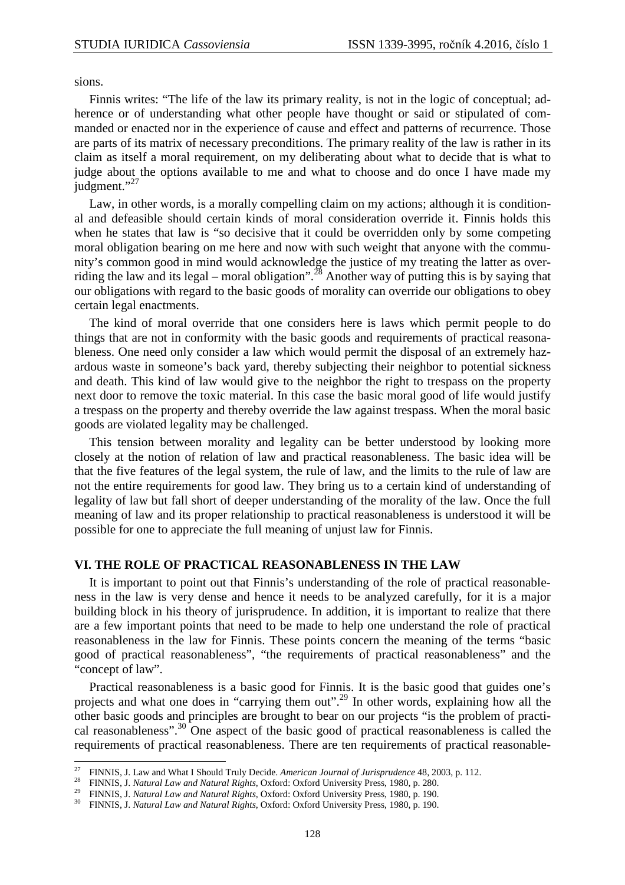sions.

l

Finnis writes: "The life of the law its primary reality, is not in the logic of conceptual; adherence or of understanding what other people have thought or said or stipulated of commanded or enacted nor in the experience of cause and effect and patterns of recurrence. Those are parts of its matrix of necessary preconditions. The primary reality of the law is rather in its claim as itself a moral requirement, on my deliberating about what to decide that is what to judge about the options available to me and what to choose and do once I have made my judgment."<sup>27</sup>

Law, in other words, is a morally compelling claim on my actions; although it is conditional and defeasible should certain kinds of moral consideration override it. Finnis holds this when he states that law is "so decisive that it could be overridden only by some competing moral obligation bearing on me here and now with such weight that anyone with the community's common good in mind would acknowledge the justice of my treating the latter as overriding the law and its legal – moral obligation".<sup>28</sup> Another way of putting this is by saying that our obligations with regard to the basic goods of morality can override our obligations to obey certain legal enactments.

The kind of moral override that one considers here is laws which permit people to do things that are not in conformity with the basic goods and requirements of practical reasonableness. One need only consider a law which would permit the disposal of an extremely hazardous waste in someone's back yard, thereby subjecting their neighbor to potential sickness and death. This kind of law would give to the neighbor the right to trespass on the property next door to remove the toxic material. In this case the basic moral good of life would justify a trespass on the property and thereby override the law against trespass. When the moral basic goods are violated legality may be challenged.

This tension between morality and legality can be better understood by looking more closely at the notion of relation of law and practical reasonableness. The basic idea will be that the five features of the legal system, the rule of law, and the limits to the rule of law are not the entire requirements for good law. They bring us to a certain kind of understanding of legality of law but fall short of deeper understanding of the morality of the law. Once the full meaning of law and its proper relationship to practical reasonableness is understood it will be possible for one to appreciate the full meaning of unjust law for Finnis.

## **VI. THE ROLE OF PRACTICAL REASONABLENESS IN THE LAW**

It is important to point out that Finnis's understanding of the role of practical reasonableness in the law is very dense and hence it needs to be analyzed carefully, for it is a major building block in his theory of jurisprudence. In addition, it is important to realize that there are a few important points that need to be made to help one understand the role of practical reasonableness in the law for Finnis. These points concern the meaning of the terms "basic good of practical reasonableness", "the requirements of practical reasonableness" and the "concept of law".

Practical reasonableness is a basic good for Finnis. It is the basic good that guides one's projects and what one does in "carrying them out".<sup>29</sup> In other words, explaining how all the other basic goods and principles are brought to bear on our projects "is the problem of practical reasonableness".<sup>30</sup> One aspect of the basic good of practical reasonableness is called the requirements of practical reasonableness. There are ten requirements of practical reasonable-

<sup>27</sup> FINNIS, J. Law and What I Should Truly Decide. *American Journal of Jurisprudence* 48, 2003, p. 112.

<sup>28</sup> FINNIS, J. *Natural Law and Natural Rights*, Oxford: Oxford University Press, 1980, p. 280.

<sup>29</sup> FINNIS, J. *Natural Law and Natural Rights*, Oxford: Oxford University Press, 1980, p. 190.

<sup>30</sup> FINNIS, J. *Natural Law and Natural Rights*, Oxford: Oxford University Press, 1980, p. 190.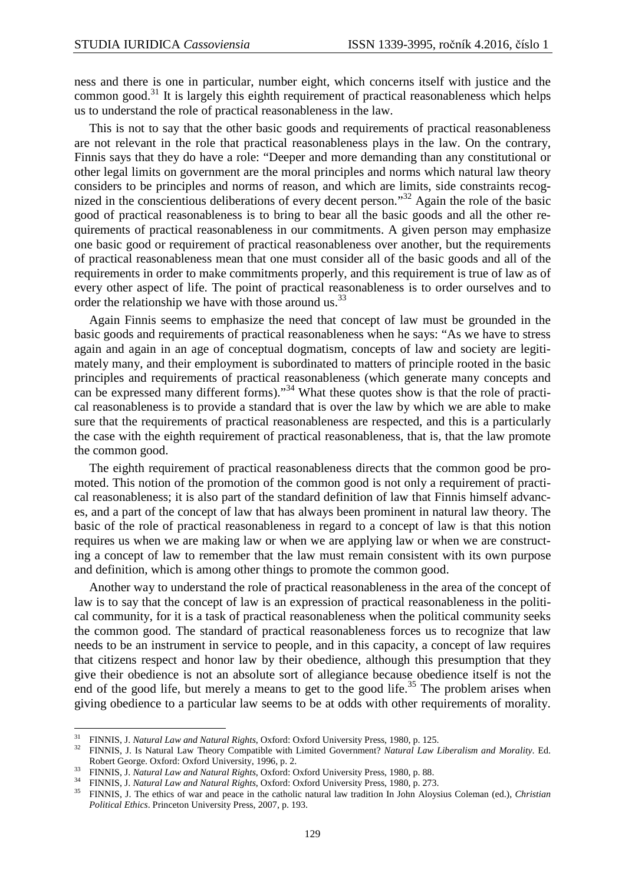ness and there is one in particular, number eight, which concerns itself with justice and the common good.<sup>31</sup> It is largely this eighth requirement of practical reasonableness which helps us to understand the role of practical reasonableness in the law.

This is not to say that the other basic goods and requirements of practical reasonableness are not relevant in the role that practical reasonableness plays in the law. On the contrary, Finnis says that they do have a role: "Deeper and more demanding than any constitutional or other legal limits on government are the moral principles and norms which natural law theory considers to be principles and norms of reason, and which are limits, side constraints recognized in the conscientious deliberations of every decent person."<sup>32</sup> Again the role of the basic good of practical reasonableness is to bring to bear all the basic goods and all the other requirements of practical reasonableness in our commitments. A given person may emphasize one basic good or requirement of practical reasonableness over another, but the requirements of practical reasonableness mean that one must consider all of the basic goods and all of the requirements in order to make commitments properly, and this requirement is true of law as of every other aspect of life. The point of practical reasonableness is to order ourselves and to order the relationship we have with those around us.<sup>33</sup>

Again Finnis seems to emphasize the need that concept of law must be grounded in the basic goods and requirements of practical reasonableness when he says: "As we have to stress again and again in an age of conceptual dogmatism, concepts of law and society are legitimately many, and their employment is subordinated to matters of principle rooted in the basic principles and requirements of practical reasonableness (which generate many concepts and can be expressed many different forms)."<sup>34</sup> What these quotes show is that the role of practical reasonableness is to provide a standard that is over the law by which we are able to make sure that the requirements of practical reasonableness are respected, and this is a particularly the case with the eighth requirement of practical reasonableness, that is, that the law promote the common good.

The eighth requirement of practical reasonableness directs that the common good be promoted. This notion of the promotion of the common good is not only a requirement of practical reasonableness; it is also part of the standard definition of law that Finnis himself advances, and a part of the concept of law that has always been prominent in natural law theory. The basic of the role of practical reasonableness in regard to a concept of law is that this notion requires us when we are making law or when we are applying law or when we are constructing a concept of law to remember that the law must remain consistent with its own purpose and definition, which is among other things to promote the common good.

Another way to understand the role of practical reasonableness in the area of the concept of law is to say that the concept of law is an expression of practical reasonableness in the political community, for it is a task of practical reasonableness when the political community seeks the common good. The standard of practical reasonableness forces us to recognize that law needs to be an instrument in service to people, and in this capacity, a concept of law requires that citizens respect and honor law by their obedience, although this presumption that they give their obedience is not an absolute sort of allegiance because obedience itself is not the end of the good life, but merely a means to get to the good life.<sup>35</sup> The problem arises when giving obedience to a particular law seems to be at odds with other requirements of morality.

<sup>31</sup> FINNIS, J. *Natural Law and Natural Rights*, Oxford: Oxford University Press, 1980, p. 125.

<sup>32</sup> FINNIS, J. Is Natural Law Theory Compatible with Limited Government? *Natural Law Liberalism and Morality*. Ed. Robert George. Oxford: Oxford University, 1996, p. 2.

<sup>33</sup> FINNIS, J. *Natural Law and Natural Rights*, Oxford: Oxford University Press, 1980, p. 88.

<sup>34</sup> FINNIS, J. *Natural Law and Natural Rights*, Oxford: Oxford University Press, 1980, p. 273.

<sup>35</sup> FINNIS, J. The ethics of war and peace in the catholic natural law tradition In John Aloysius Coleman (ed.), *Christian Political Ethics*. Princeton University Press, 2007, p. 193.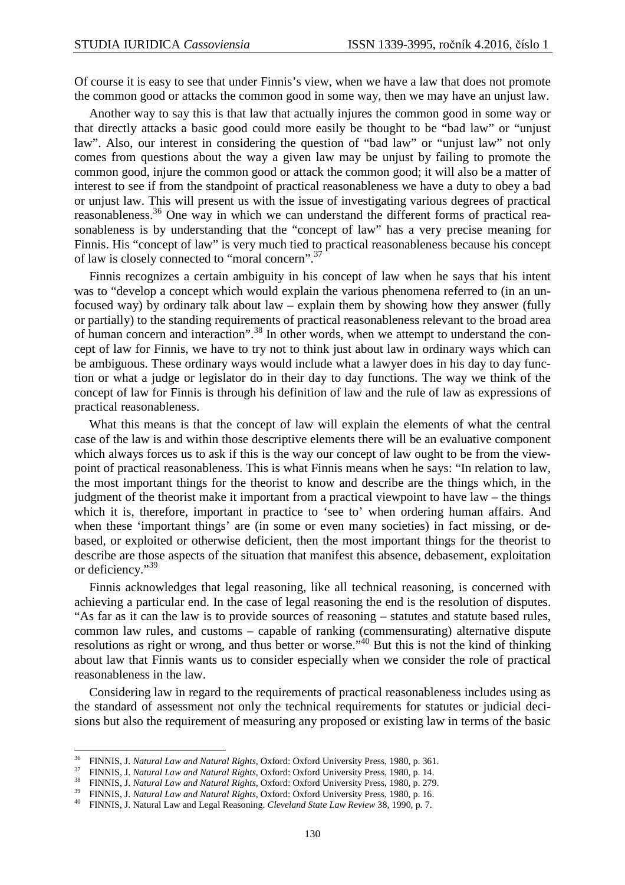Of course it is easy to see that under Finnis's view, when we have a law that does not promote the common good or attacks the common good in some way, then we may have an unjust law.

Another way to say this is that law that actually injures the common good in some way or that directly attacks a basic good could more easily be thought to be "bad law" or "unjust law". Also, our interest in considering the question of "bad law" or "unjust law" not only comes from questions about the way a given law may be unjust by failing to promote the common good, injure the common good or attack the common good; it will also be a matter of interest to see if from the standpoint of practical reasonableness we have a duty to obey a bad or unjust law. This will present us with the issue of investigating various degrees of practical reasonableness.<sup>36</sup> One way in which we can understand the different forms of practical reasonableness is by understanding that the "concept of law" has a very precise meaning for Finnis. His "concept of law" is very much tied to practical reasonableness because his concept of law is closely connected to "moral concern".<sup>37</sup>

Finnis recognizes a certain ambiguity in his concept of law when he says that his intent was to "develop a concept which would explain the various phenomena referred to (in an unfocused way) by ordinary talk about law – explain them by showing how they answer (fully or partially) to the standing requirements of practical reasonableness relevant to the broad area of human concern and interaction".<sup>38</sup> In other words, when we attempt to understand the concept of law for Finnis, we have to try not to think just about law in ordinary ways which can be ambiguous. These ordinary ways would include what a lawyer does in his day to day function or what a judge or legislator do in their day to day functions. The way we think of the concept of law for Finnis is through his definition of law and the rule of law as expressions of practical reasonableness.

What this means is that the concept of law will explain the elements of what the central case of the law is and within those descriptive elements there will be an evaluative component which always forces us to ask if this is the way our concept of law ought to be from the viewpoint of practical reasonableness. This is what Finnis means when he says: "In relation to law, the most important things for the theorist to know and describe are the things which, in the judgment of the theorist make it important from a practical viewpoint to have law – the things which it is, therefore, important in practice to 'see to' when ordering human affairs. And when these 'important things' are (in some or even many societies) in fact missing, or debased, or exploited or otherwise deficient, then the most important things for the theorist to describe are those aspects of the situation that manifest this absence, debasement, exploitation or deficiency."<sup>39</sup>

Finnis acknowledges that legal reasoning, like all technical reasoning, is concerned with achieving a particular end. In the case of legal reasoning the end is the resolution of disputes. "As far as it can the law is to provide sources of reasoning – statutes and statute based rules, common law rules, and customs – capable of ranking (commensurating) alternative dispute resolutions as right or wrong, and thus better or worse."<sup>40</sup> But this is not the kind of thinking about law that Finnis wants us to consider especially when we consider the role of practical reasonableness in the law.

Considering law in regard to the requirements of practical reasonableness includes using as the standard of assessment not only the technical requirements for statutes or judicial decisions but also the requirement of measuring any proposed or existing law in terms of the basic

<sup>36</sup> FINNIS, J. *Natural Law and Natural Rights*, Oxford: Oxford University Press, 1980, p. 361.

<sup>37</sup> FINNIS, J. *Natural Law and Natural Rights*, Oxford: Oxford University Press, 1980, p. 14.

<sup>38</sup> FINNIS, J. *Natural Law and Natural Rights*, Oxford: Oxford University Press, 1980, p. 279.

<sup>39</sup> FINNIS, J. *Natural Law and Natural Rights*, Oxford: Oxford University Press, 1980, p. 16.

<sup>40</sup> FINNIS, J. Natural Law and Legal Reasoning. *Cleveland State Law Review* 38, 1990, p. 7.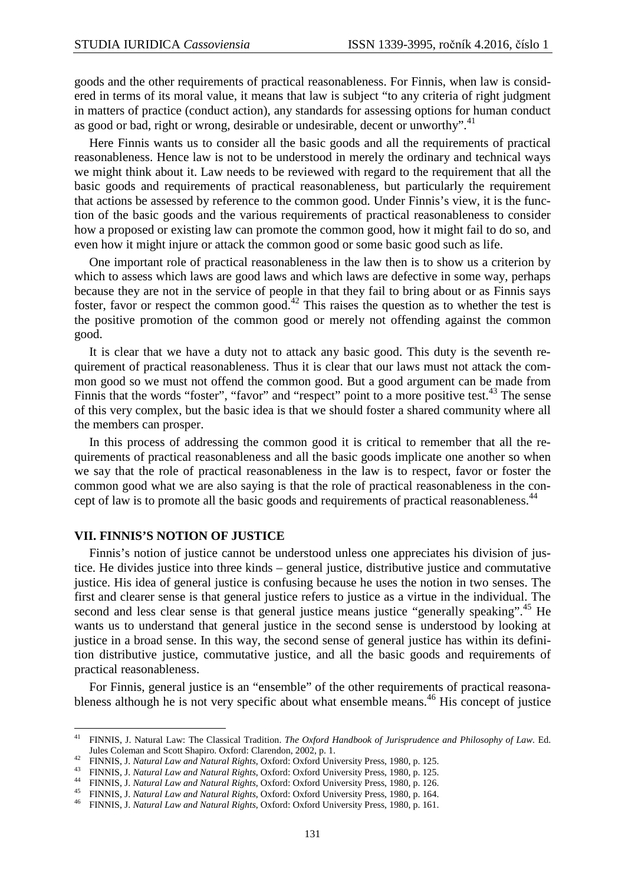goods and the other requirements of practical reasonableness. For Finnis, when law is considered in terms of its moral value, it means that law is subject "to any criteria of right judgment in matters of practice (conduct action), any standards for assessing options for human conduct as good or bad, right or wrong, desirable or undesirable, decent or unworthy".<sup>41</sup>

Here Finnis wants us to consider all the basic goods and all the requirements of practical reasonableness. Hence law is not to be understood in merely the ordinary and technical ways we might think about it. Law needs to be reviewed with regard to the requirement that all the basic goods and requirements of practical reasonableness, but particularly the requirement that actions be assessed by reference to the common good. Under Finnis's view, it is the function of the basic goods and the various requirements of practical reasonableness to consider how a proposed or existing law can promote the common good, how it might fail to do so, and even how it might injure or attack the common good or some basic good such as life.

One important role of practical reasonableness in the law then is to show us a criterion by which to assess which laws are good laws and which laws are defective in some way, perhaps because they are not in the service of people in that they fail to bring about or as Finnis says foster, favor or respect the common good.<sup>42</sup> This raises the question as to whether the test is the positive promotion of the common good or merely not offending against the common good.

It is clear that we have a duty not to attack any basic good. This duty is the seventh requirement of practical reasonableness. Thus it is clear that our laws must not attack the common good so we must not offend the common good. But a good argument can be made from Finnis that the words "foster", "favor" and "respect" point to a more positive test.<sup>43</sup> The sense of this very complex, but the basic idea is that we should foster a shared community where all the members can prosper.

In this process of addressing the common good it is critical to remember that all the requirements of practical reasonableness and all the basic goods implicate one another so when we say that the role of practical reasonableness in the law is to respect, favor or foster the common good what we are also saying is that the role of practical reasonableness in the concept of law is to promote all the basic goods and requirements of practical reasonableness.<sup>44</sup>

#### **VII. FINNIS'S NOTION OF JUSTICE**

l

Finnis's notion of justice cannot be understood unless one appreciates his division of justice. He divides justice into three kinds – general justice, distributive justice and commutative justice. His idea of general justice is confusing because he uses the notion in two senses. The first and clearer sense is that general justice refers to justice as a virtue in the individual. The second and less clear sense is that general justice means justice "generally speaking".<sup>45</sup> He wants us to understand that general justice in the second sense is understood by looking at justice in a broad sense. In this way, the second sense of general justice has within its definition distributive justice, commutative justice, and all the basic goods and requirements of practical reasonableness.

For Finnis, general justice is an "ensemble" of the other requirements of practical reasonableness although he is not very specific about what ensemble means.<sup>46</sup> His concept of justice

<sup>41</sup> FINNIS, J. Natural Law: The Classical Tradition. *The Oxford Handbook of Jurisprudence and Philosophy of Law*. Ed. Jules Coleman and Scott Shapiro. Oxford: Clarendon, 2002, p. 1.

<sup>42</sup> FINNIS, J. *Natural Law and Natural Rights*, Oxford: Oxford University Press, 1980, p. 125.

<sup>43</sup> FINNIS, J. *Natural Law and Natural Rights*, Oxford: Oxford University Press, 1980, p. 125.

<sup>44</sup> FINNIS, J. *Natural Law and Natural Rights*, Oxford: Oxford University Press, 1980, p. 126.

<sup>45</sup> FINNIS, J. *Natural Law and Natural Rights*, Oxford: Oxford University Press, 1980, p. 164.

<sup>46</sup> FINNIS, J. *Natural Law and Natural Rights*, Oxford: Oxford University Press, 1980, p. 161.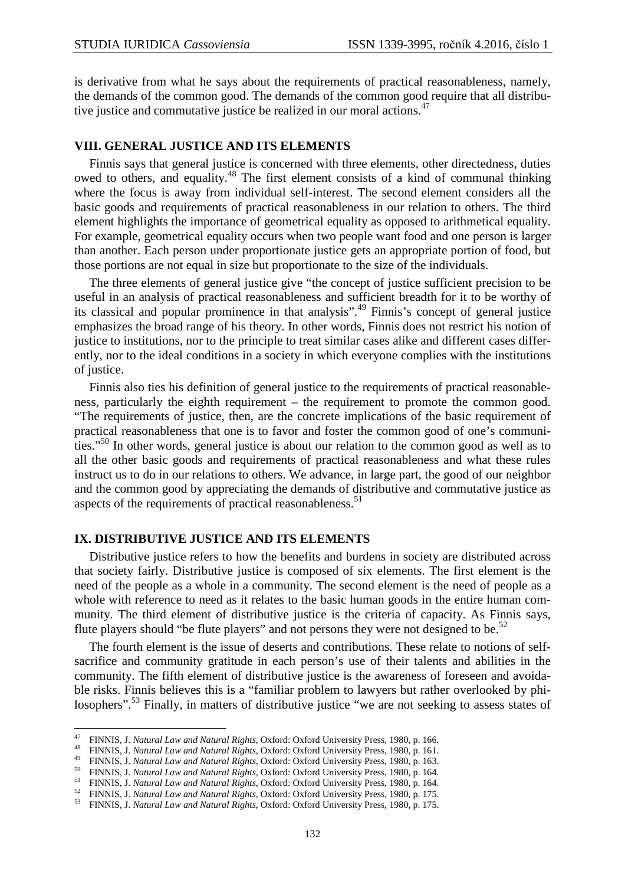is derivative from what he says about the requirements of practical reasonableness, namely, the demands of the common good. The demands of the common good require that all distributive justice and commutative justice be realized in our moral actions.<sup>47</sup>

## **VIII. GENERAL JUSTICE AND ITS ELEMENTS**

Finnis says that general justice is concerned with three elements, other directedness, duties owed to others, and equality.<sup>48</sup> The first element consists of a kind of communal thinking where the focus is away from individual self-interest. The second element considers all the basic goods and requirements of practical reasonableness in our relation to others. The third element highlights the importance of geometrical equality as opposed to arithmetical equality. For example, geometrical equality occurs when two people want food and one person is larger than another. Each person under proportionate justice gets an appropriate portion of food, but those portions are not equal in size but proportionate to the size of the individuals.

The three elements of general justice give "the concept of justice sufficient precision to be useful in an analysis of practical reasonableness and sufficient breadth for it to be worthy of its classical and popular prominence in that analysis".<sup>49</sup> Finnis's concept of general justice emphasizes the broad range of his theory. In other words, Finnis does not restrict his notion of justice to institutions, nor to the principle to treat similar cases alike and different cases differently, nor to the ideal conditions in a society in which everyone complies with the institutions of justice.

Finnis also ties his definition of general justice to the requirements of practical reasonableness, particularly the eighth requirement – the requirement to promote the common good. "The requirements of justice, then, are the concrete implications of the basic requirement of practical reasonableness that one is to favor and foster the common good of one's communities."<sup>50</sup> In other words, general justice is about our relation to the common good as well as to all the other basic goods and requirements of practical reasonableness and what these rules instruct us to do in our relations to others. We advance, in large part, the good of our neighbor and the common good by appreciating the demands of distributive and commutative justice as aspects of the requirements of practical reasonableness.<sup>51</sup>

## **IX. DISTRIBUTIVE JUSTICE AND ITS ELEMENTS**

l

Distributive justice refers to how the benefits and burdens in society are distributed across that society fairly. Distributive justice is composed of six elements. The first element is the need of the people as a whole in a community. The second element is the need of people as a whole with reference to need as it relates to the basic human goods in the entire human community. The third element of distributive justice is the criteria of capacity. As Finnis says, flute players should "be flute players" and not persons they were not designed to be. $52$ 

The fourth element is the issue of deserts and contributions. These relate to notions of selfsacrifice and community gratitude in each person's use of their talents and abilities in the community. The fifth element of distributive justice is the awareness of foreseen and avoidable risks. Finnis believes this is a "familiar problem to lawyers but rather overlooked by philosophers".<sup>53</sup> Finally, in matters of distributive justice "we are not seeking to assess states of

<sup>47</sup> FINNIS, J. *Natural Law and Natural Rights*, Oxford: Oxford University Press, 1980, p. 166.

<sup>48</sup> FINNIS, J. *Natural Law and Natural Rights*, Oxford: Oxford University Press, 1980, p. 161.

<sup>49</sup> FINNIS, J. *Natural Law and Natural Rights*, Oxford: Oxford University Press, 1980, p. 163.

<sup>50</sup> FINNIS, J. *Natural Law and Natural Rights*, Oxford: Oxford University Press, 1980, p. 164.

<sup>51</sup> FINNIS, J. *Natural Law and Natural Rights*, Oxford: Oxford University Press, 1980, p. 164.

<sup>52</sup> FINNIS, J. *Natural Law and Natural Rights*, Oxford: Oxford University Press, 1980, p. 175.

<sup>53</sup> FINNIS, J. *Natural Law and Natural Rights*, Oxford: Oxford University Press, 1980, p. 175.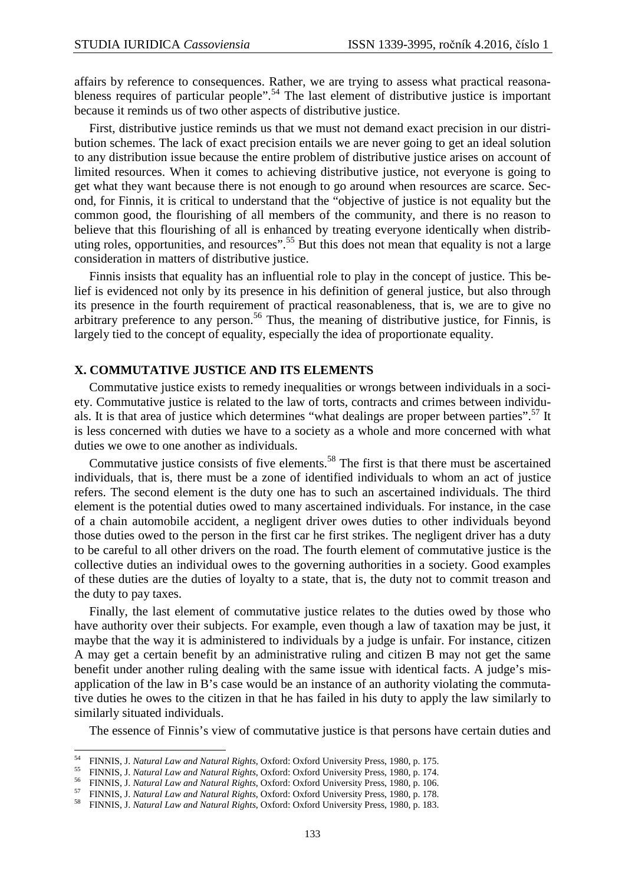affairs by reference to consequences. Rather, we are trying to assess what practical reasonableness requires of particular people".<sup>54</sup> The last element of distributive justice is important because it reminds us of two other aspects of distributive justice.

First, distributive justice reminds us that we must not demand exact precision in our distribution schemes. The lack of exact precision entails we are never going to get an ideal solution to any distribution issue because the entire problem of distributive justice arises on account of limited resources. When it comes to achieving distributive justice, not everyone is going to get what they want because there is not enough to go around when resources are scarce. Second, for Finnis, it is critical to understand that the "objective of justice is not equality but the common good, the flourishing of all members of the community, and there is no reason to believe that this flourishing of all is enhanced by treating everyone identically when distributing roles, opportunities, and resources".<sup>55</sup> But this does not mean that equality is not a large consideration in matters of distributive justice.

Finnis insists that equality has an influential role to play in the concept of justice. This belief is evidenced not only by its presence in his definition of general justice, but also through its presence in the fourth requirement of practical reasonableness, that is, we are to give no arbitrary preference to any person.<sup>56</sup> Thus, the meaning of distributive justice, for Finnis, is largely tied to the concept of equality, especially the idea of proportionate equality.

#### **X. COMMUTATIVE JUSTICE AND ITS ELEMENTS**

Commutative justice exists to remedy inequalities or wrongs between individuals in a society. Commutative justice is related to the law of torts, contracts and crimes between individuals. It is that area of justice which determines "what dealings are proper between parties".<sup>57</sup> It is less concerned with duties we have to a society as a whole and more concerned with what duties we owe to one another as individuals.

Commutative justice consists of five elements.<sup>58</sup> The first is that there must be ascertained individuals, that is, there must be a zone of identified individuals to whom an act of justice refers. The second element is the duty one has to such an ascertained individuals. The third element is the potential duties owed to many ascertained individuals. For instance, in the case of a chain automobile accident, a negligent driver owes duties to other individuals beyond those duties owed to the person in the first car he first strikes. The negligent driver has a duty to be careful to all other drivers on the road. The fourth element of commutative justice is the collective duties an individual owes to the governing authorities in a society. Good examples of these duties are the duties of loyalty to a state, that is, the duty not to commit treason and the duty to pay taxes.

Finally, the last element of commutative justice relates to the duties owed by those who have authority over their subjects. For example, even though a law of taxation may be just, it maybe that the way it is administered to individuals by a judge is unfair. For instance, citizen A may get a certain benefit by an administrative ruling and citizen B may not get the same benefit under another ruling dealing with the same issue with identical facts. A judge's misapplication of the law in B's case would be an instance of an authority violating the commutative duties he owes to the citizen in that he has failed in his duty to apply the law similarly to similarly situated individuals.

The essence of Finnis's view of commutative justice is that persons have certain duties and

<sup>54</sup> FINNIS, J. *Natural Law and Natural Rights*, Oxford: Oxford University Press, 1980, p. 175.

<sup>55</sup> FINNIS, J. *Natural Law and Natural Rights*, Oxford: Oxford University Press, 1980, p. 174.

<sup>56</sup> FINNIS, J. *Natural Law and Natural Rights*, Oxford: Oxford University Press, 1980, p. 106.

<sup>57</sup> FINNIS, J. *Natural Law and Natural Rights*, Oxford: Oxford University Press, 1980, p. 178.

<sup>58</sup> FINNIS, J. *Natural Law and Natural Rights*, Oxford: Oxford University Press, 1980, p. 183.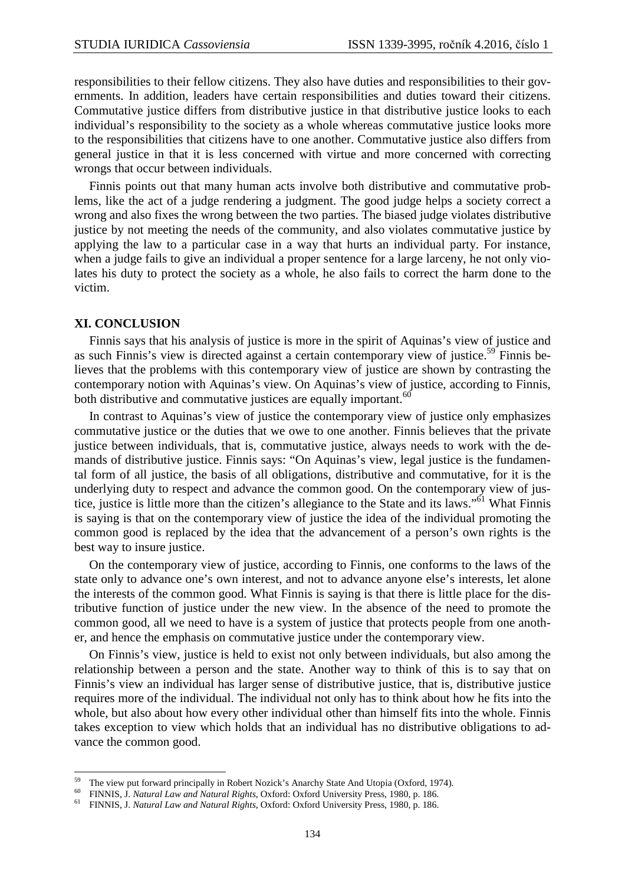responsibilities to their fellow citizens. They also have duties and responsibilities to their governments. In addition, leaders have certain responsibilities and duties toward their citizens. Commutative justice differs from distributive justice in that distributive justice looks to each individual's responsibility to the society as a whole whereas commutative justice looks more to the responsibilities that citizens have to one another. Commutative justice also differs from general justice in that it is less concerned with virtue and more concerned with correcting wrongs that occur between individuals.

Finnis points out that many human acts involve both distributive and commutative problems, like the act of a judge rendering a judgment. The good judge helps a society correct a wrong and also fixes the wrong between the two parties. The biased judge violates distributive justice by not meeting the needs of the community, and also violates commutative justice by applying the law to a particular case in a way that hurts an individual party. For instance, when a judge fails to give an individual a proper sentence for a large larceny, he not only violates his duty to protect the society as a whole, he also fails to correct the harm done to the victim.

#### **XI. CONCLUSION**

 $\overline{a}$ 

Finnis says that his analysis of justice is more in the spirit of Aquinas's view of justice and as such Finnis's view is directed against a certain contemporary view of justice.<sup>59</sup> Finnis believes that the problems with this contemporary view of justice are shown by contrasting the contemporary notion with Aquinas's view. On Aquinas's view of justice, according to Finnis, both distributive and commutative justices are equally important.<sup>60</sup>

In contrast to Aquinas's view of justice the contemporary view of justice only emphasizes commutative justice or the duties that we owe to one another. Finnis believes that the private justice between individuals, that is, commutative justice, always needs to work with the demands of distributive justice. Finnis says: "On Aquinas's view, legal justice is the fundamental form of all justice, the basis of all obligations, distributive and commutative, for it is the underlying duty to respect and advance the common good. On the contemporary view of justice, justice is little more than the citizen's allegiance to the State and its laws."<sup>61</sup> What Finnis is saying is that on the contemporary view of justice the idea of the individual promoting the common good is replaced by the idea that the advancement of a person's own rights is the best way to insure justice.

On the contemporary view of justice, according to Finnis, one conforms to the laws of the state only to advance one's own interest, and not to advance anyone else's interests, let alone the interests of the common good. What Finnis is saying is that there is little place for the distributive function of justice under the new view. In the absence of the need to promote the common good, all we need to have is a system of justice that protects people from one another, and hence the emphasis on commutative justice under the contemporary view.

On Finnis's view, justice is held to exist not only between individuals, but also among the relationship between a person and the state. Another way to think of this is to say that on Finnis's view an individual has larger sense of distributive justice, that is, distributive justice requires more of the individual. The individual not only has to think about how he fits into the whole, but also about how every other individual other than himself fits into the whole. Finnis takes exception to view which holds that an individual has no distributive obligations to advance the common good.

<sup>&</sup>lt;sup>59</sup> The view put forward principally in Robert Nozick's Anarchy State And Utopia (Oxford, 1974).

<sup>60</sup> FINNIS, J. *Natural Law and Natural Rights*, Oxford: Oxford University Press, 1980, p. 186.

<sup>61</sup> FINNIS, J. *Natural Law and Natural Rights*, Oxford: Oxford University Press, 1980, p. 186.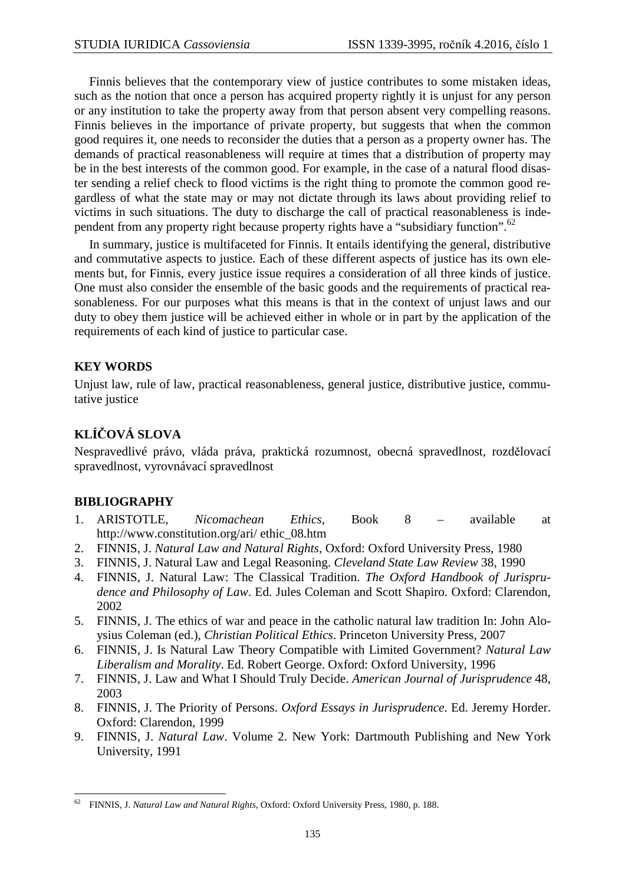Finnis believes that the contemporary view of justice contributes to some mistaken ideas, such as the notion that once a person has acquired property rightly it is unjust for any person or any institution to take the property away from that person absent very compelling reasons. Finnis believes in the importance of private property, but suggests that when the common good requires it, one needs to reconsider the duties that a person as a property owner has. The demands of practical reasonableness will require at times that a distribution of property may be in the best interests of the common good. For example, in the case of a natural flood disaster sending a relief check to flood victims is the right thing to promote the common good regardless of what the state may or may not dictate through its laws about providing relief to victims in such situations. The duty to discharge the call of practical reasonableness is independent from any property right because property rights have a "subsidiary function".<sup>62</sup>

In summary, justice is multifaceted for Finnis. It entails identifying the general, distributive and commutative aspects to justice. Each of these different aspects of justice has its own elements but, for Finnis, every justice issue requires a consideration of all three kinds of justice. One must also consider the ensemble of the basic goods and the requirements of practical reasonableness. For our purposes what this means is that in the context of unjust laws and our duty to obey them justice will be achieved either in whole or in part by the application of the requirements of each kind of justice to particular case.

# **KEY WORDS**

Unjust law, rule of law, practical reasonableness, general justice, distributive justice, commutative justice

# **KLÍČOVÁ SLOVA**

Nespravedlivé právo, vláda práva, praktická rozumnost, obecná spravedlnost, rozdělovací spravedlnost, vyrovnávací spravedlnost

## **BIBLIOGRAPHY**

 $\overline{a}$ 

- 1. ARISTOTLE, *Nicomachean Ethics*, Book 8 available at http://www.constitution.org/ari/ ethic\_08.htm
- 2. FINNIS, J. *Natural Law and Natural Rights*, Oxford: Oxford University Press, 1980
- 3. FINNIS, J. Natural Law and Legal Reasoning. *Cleveland State Law Review* 38, 1990
- 4. FINNIS, J. Natural Law: The Classical Tradition. *The Oxford Handbook of Jurisprudence and Philosophy of Law*. Ed. Jules Coleman and Scott Shapiro. Oxford: Clarendon, 2002
- 5. FINNIS, J. The ethics of war and peace in the catholic natural law tradition In: John Aloysius Coleman (ed.), *Christian Political Ethics*. Princeton University Press, 2007
- 6. FINNIS, J. Is Natural Law Theory Compatible with Limited Government? *Natural Law Liberalism and Morality*. Ed. Robert George. Oxford: Oxford University, 1996
- 7. FINNIS, J. Law and What I Should Truly Decide. *American Journal of Jurisprudence* 48, 2003
- 8. FINNIS, J. The Priority of Persons. *Oxford Essays in Jurisprudence*. Ed. Jeremy Horder. Oxford: Clarendon, 1999
- 9. FINNIS, J. *Natural Law*. Volume 2. New York: Dartmouth Publishing and New York University, 1991

<sup>62</sup> FINNIS, J. *Natural Law and Natural Rights*, Oxford: Oxford University Press, 1980, p. 188.